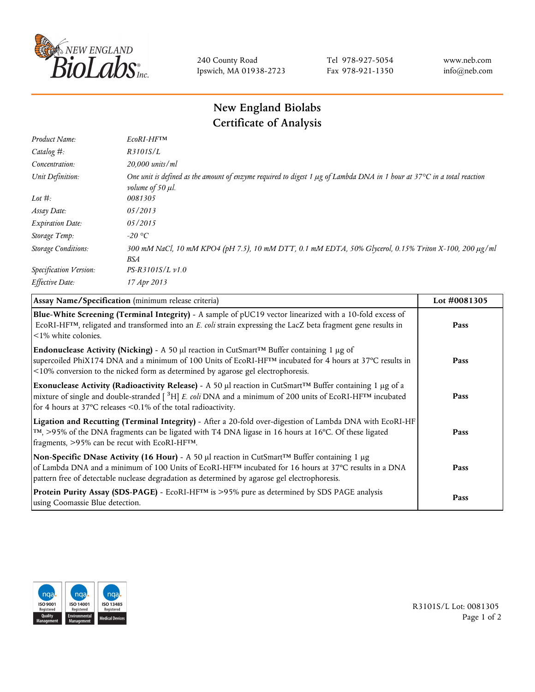

240 County Road Ipswich, MA 01938-2723 Tel 978-927-5054 Fax 978-921-1350 www.neb.com info@neb.com

## **New England Biolabs Certificate of Analysis**

| Product Name:              | EcoRI-HFTM                                                                                                                                                                       |
|----------------------------|----------------------------------------------------------------------------------------------------------------------------------------------------------------------------------|
| Catalog #:                 | R3101S/L                                                                                                                                                                         |
| Concentration:             | 20,000 units/ml                                                                                                                                                                  |
| Unit Definition:           | One unit is defined as the amount of enzyme required to digest 1 $\mu$ g of Lambda DNA in 1 hour at 37 $\degree$ C in a total reaction<br><i>volume of 50 <math>\mu</math>l.</i> |
| Lot $#$ :                  | 0081305                                                                                                                                                                          |
| Assay Date:                | 05/2013                                                                                                                                                                          |
| <b>Expiration Date:</b>    | 05/2015                                                                                                                                                                          |
| Storage Temp:              | $-20\text{ °C}$                                                                                                                                                                  |
| <b>Storage Conditions:</b> | 300 mM NaCl, 10 mM KPO4 (pH 7.5), 10 mM DTT, 0.1 mM EDTA, 50% Glycerol, 0.15% Triton X-100, 200 µg/ml<br>BSA                                                                     |
| Specification Version:     | $PS-R3101S/L \nu 1.0$                                                                                                                                                            |
| Effective Date:            | 17 Apr 2013                                                                                                                                                                      |

| Assay Name/Specification (minimum release criteria)                                                                                                                                                                                                                                                                                         | Lot #0081305 |
|---------------------------------------------------------------------------------------------------------------------------------------------------------------------------------------------------------------------------------------------------------------------------------------------------------------------------------------------|--------------|
| Blue-White Screening (Terminal Integrity) - A sample of pUC19 vector linearized with a 10-fold excess of<br>ECORI-HFTM, religated and transformed into an E. coli strain expressing the LacZ beta fragment gene results in<br>$\leq$ 1% white colonies.                                                                                     | Pass         |
| Endonuclease Activity (Nicking) - A 50 µl reaction in CutSmart™ Buffer containing 1 µg of<br>supercoiled PhiX174 DNA and a minimum of 100 Units of EcoRI-HFTM incubated for 4 hours at 37°C results in<br><10% conversion to the nicked form as determined by agarose gel electrophoresis.                                                  | Pass         |
| Exonuclease Activity (Radioactivity Release) - A 50 µl reaction in CutSmart™ Buffer containing 1 µg of a<br>mixture of single and double-stranded $\left[$ <sup>3</sup> H $\right]$ E. coli DNA and a minimum of 200 units of EcoRI-HF <sup>TM</sup> incubated<br>for 4 hours at 37 $^{\circ}$ C releases <0.1% of the total radioactivity. | Pass         |
| Ligation and Recutting (Terminal Integrity) - After a 20-fold over-digestion of Lambda DNA with EcoRI-HF<br>TM, >95% of the DNA fragments can be ligated with T4 DNA ligase in 16 hours at 16°C. Of these ligated<br>fragments, >95% can be recut with EcoRI-HFTM.                                                                          | Pass         |
| Non-Specific DNase Activity (16 Hour) - A 50 µl reaction in CutSmart™ Buffer containing 1 µg<br>of Lambda DNA and a minimum of 100 Units of EcoRI-HFTM incubated for 16 hours at 37°C results in a DNA<br>pattern free of detectable nuclease degradation as determined by agarose gel electrophoresis.                                     | Pass         |
| Protein Purity Assay (SDS-PAGE) - EcoRI-HF™ is >95% pure as determined by SDS PAGE analysis<br>using Coomassie Blue detection.                                                                                                                                                                                                              | Pass         |



R3101S/L Lot: 0081305 Page 1 of 2